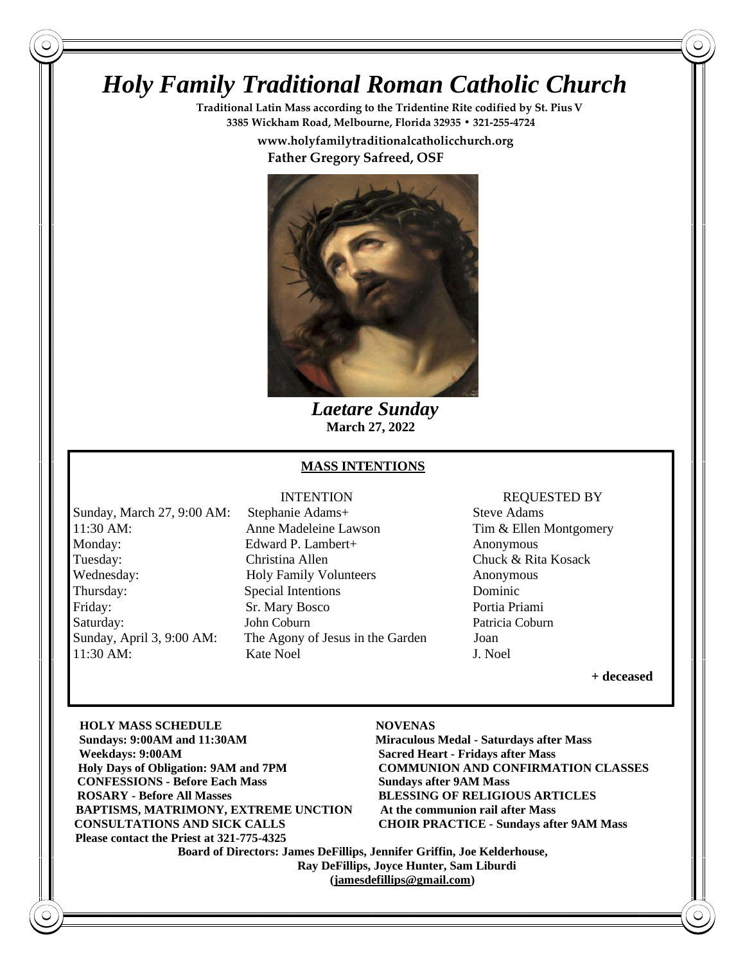# *Holy Family Traditional Roman Catholic Church*

**Traditional Latin Mass according to the Tridentine Rite codified by St. PiusV 3385 Wickham Road, Melbourne, Florida 32935 • 321-255-4724**

 **www.holyfamilytraditionalcatholicchurch.org**

 **Father Gregory Safreed, OSF**



 *Laetare Sunday*  **March 27, 2022**

### **MASS INTENTIONS**

Sunday, March 27, 9:00 AM: Stephanie Adams+ Steve Adams 11:30 AM: Anne Madeleine Lawson Tim & Ellen Montgomery Monday: Edward P. Lambert+ Anonymous Tuesday: Christina Allen Chuck & Rita Kosack Wednesday: **Holy Family Volunteers** Anonymous Thursday: Special Intentions Dominic Friday: Sr. Mary Bosco Portia Priami Saturday: John Coburn Patricia Coburn Patricia Coburn Sunday, April 3, 9:00 AM: The Agony of Jesus in the Garden Joan 11:30 AM: Kate Noel J. Noel

### INTENTION REQUESTED BY

**+ deceased** 

**HOLY MASS SCHEDULE NOVENAS Sun Sundays: 9:00AM and 11:30AM Miraculous Medal - Saturdays after Mass Wee Weekdays: 9:00AM Sacred Heart - Fridays after Mass Holy Days of Obligation: 9AM and 7PM COMMUNION AND CONFIRMATION CLASSES CONFESSIONS - Before Each Mass Sundays after 9AM Mass RO ROSARY - Before All Masses BLESSING OF RELIGIOUS ARTICLES BA BAPTISMS, MATRIMONY, EXTREME UNCTION At the communion rail after Mass CO CONSULTATIONS AND SICK CALLS CHOIR PRACTICE - Sundays after 9AM Mass** Please contact the Priest at 321-775-4325

 **Board of Directors: James DeFillips, Jennifer Griffin, Joe Kelderhouse, Ray DeFillips, Joyce Hunter, Sam Liburdi [\(jamesdefillips@gmail.com\)](mailto:jamesdefillips@gmail.com)**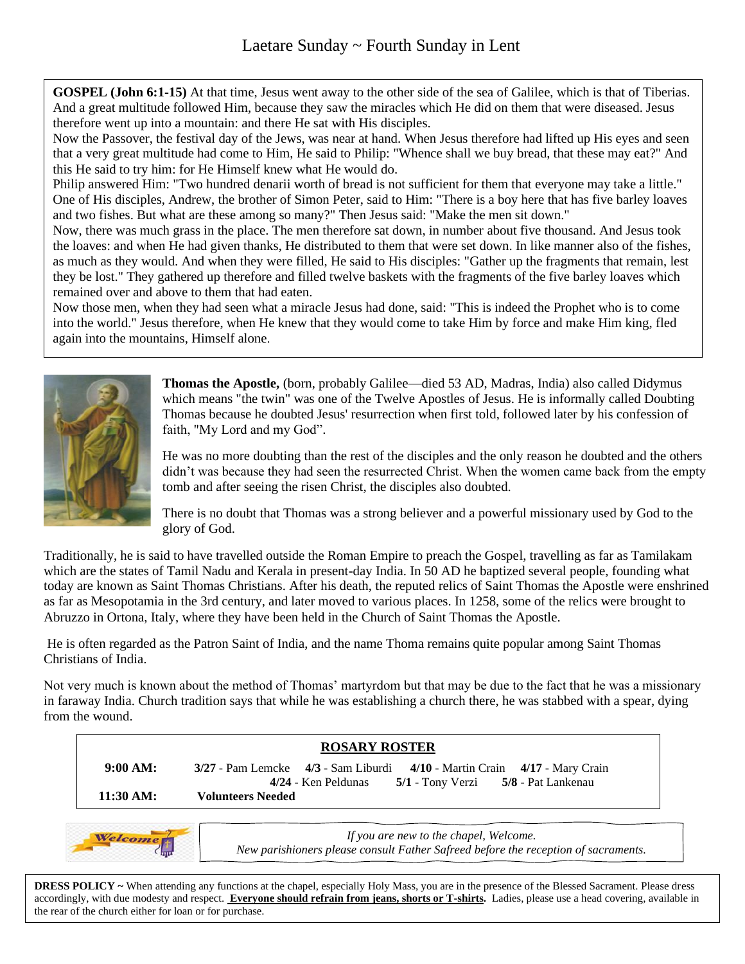**GOSPEL (John 6:1-15)** At that time, Jesus went away to the other side of the sea of Galilee, which is that of Tiberias. And a great multitude followed Him, because they saw the miracles which He did on them that were diseased. Jesus therefore went up into a mountain: and there He sat with His disciples.

Now the Passover, the festival day of the Jews, was near at hand. When Jesus therefore had lifted up His eyes and seen that a very great multitude had come to Him, He said to Philip: "Whence shall we buy bread, that these may eat?" And this He said to try him: for He Himself knew what He would do.

Philip answered Him: "Two hundred denarii worth of bread is not sufficient for them that everyone may take a little." One of His disciples, Andrew, the brother of Simon Peter, said to Him: "There is a boy here that has five barley loaves and two fishes. But what are these among so many?" Then Jesus said: "Make the men sit down."

Now, there was much grass in the place. The men therefore sat down, in number about five thousand. And Jesus took the loaves: and when He had given thanks, He distributed to them that were set down. In like manner also of the fishes, as much as they would. And when they were filled, He said to His disciples: "Gather up the fragments that remain, lest they be lost." They gathered up therefore and filled twelve baskets with the fragments of the five barley loaves which remained over and above to them that had eaten.

Now those men, when they had seen what a miracle Jesus had done, said: "This is indeed the Prophet who is to come into the world." Jesus therefore, when He knew that they would come to take Him by force and make Him king, fled again into the mountains, Himself alone.



**Thomas the Apostle,** (born, probably Galilee—died 53 AD, Madras, India) also called Didymus which means "the twin" was one of the Twelve Apostles of Jesus. He is informally called Doubting Thomas because he doubted Jesus' resurrection when first told, followed later by his confession of faith, "My Lord and my God".

He was no more doubting than the rest of the disciples and the only reason he doubted and the others didn't was because they had seen the resurrected Christ. When the women came back from the empty tomb and after seeing the risen Christ, the disciples also doubted.

There is no doubt that Thomas was a strong believer and a powerful missionary used by God to the glory of God.

Traditionally, he is said to have travelled outside the Roman Empire to preach the Gospel, travelling as far as Tamilakam which are the states of Tamil Nadu and Kerala in present-day India. In 50 AD he baptized several people, founding what today are known as Saint Thomas Christians. After his death, the reputed relics of Saint Thomas the Apostle were enshrined as far as Mesopotamia in the 3rd century, and later moved to various places. In 1258, some of the relics were brought to Abruzzo in Ortona, Italy, where they have been held in the Church of Saint Thomas the Apostle.

He is often regarded as the Patron Saint of India, and the name Thoma remains quite popular among Saint Thomas Christians of India.

Not very much is known about the method of Thomas' martyrdom but that may be due to the fact that he was a missionary in faraway India. Church tradition says that while he was establishing a church there, he was stabbed with a spear, dying from the wound.





*If you are new to the chapel, Welcome. New parishioners please consult Father Safreed before the reception of sacraments.*

**DRESS POLICY** ~ When attending any functions at the chapel, especially Holy Mass, you are in the presence of the Blessed Sacrament. Please dress accordingly, with due modesty and respect. **Everyone should refrain from jeans, shorts or T-shirts.** Ladies, please use a head covering, available in the rear of the church either for loan or for purchase.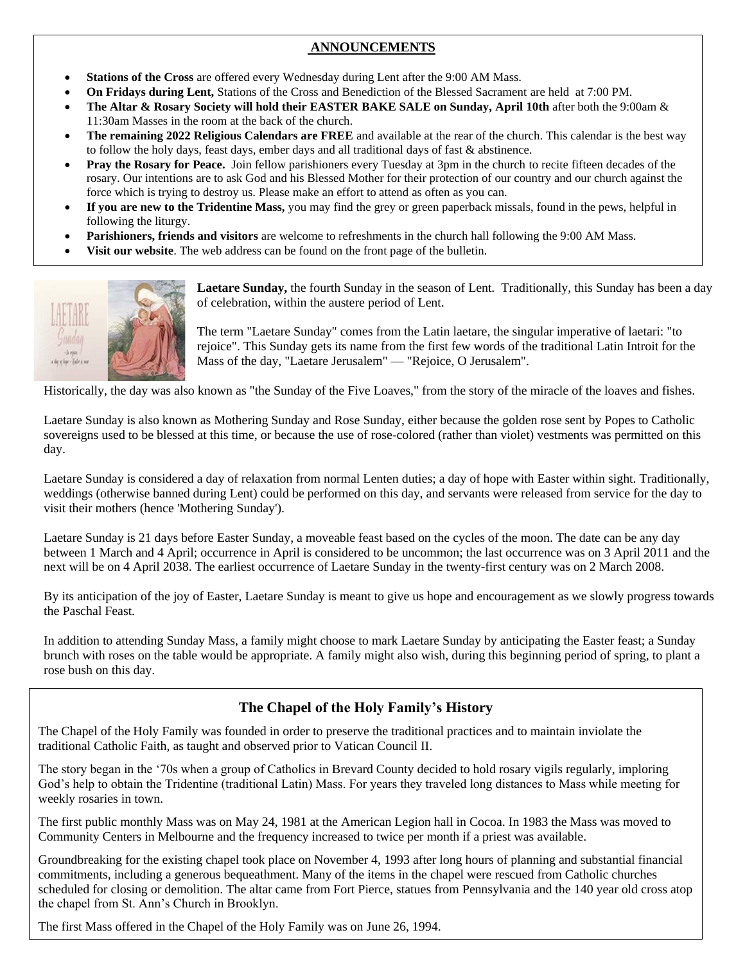# $A$ NNOUNCEMENTS

- **Stations of the Cross** are offered every Wednesday during Lent after the 9:00 AM Mass.
- **On Fridays during Lent,** Stations of the Cross and Benediction of the Blessed Sacrament are held at 7:00 PM.
- **The Altar & Rosary Society will hold their EASTER BAKE SALE on Sunday, April 10th** after both the 9:00am & 11:30am Masses in the room at the back of the church.
- **The remaining 2022 Religious Calendars are FREE** and available at the rear of the church. This calendar is the best way to follow the holy days, feast days, ember days and all traditional days of fast  $\&$  abstinence.
- **Pray the Rosary for Peace.** Join fellow parishioners every Tuesday at 3pm in the church to recite fifteen decades of the rosary. Our intentions are to ask God and his Blessed Mother for their protection of our country and our church against the force which is trying to destroy us. Please make an effort to attend as often as you can.
- **If you are new to the Tridentine Mass,** you may find the grey or green paperback missals, found in the pews, helpful in following the liturgy.
- **Parishioners, friends and visitors** are welcome to refreshments in the church hall following the 9:00 AM Mass.
- **Visit our website**. The web address can be found on the front page of the bulletin.



**Laetare Sunday,** the fourth Sunday in the season of Lent. Traditionally, this Sunday has been a day of celebration, within the austere period of Lent.

The term "Laetare Sunday" comes from the Latin laetare, the singular imperative of laetari: "to rejoice". This Sunday gets its name from the first few words of the traditional Latin Introit for the Mass of the day, "Laetare Jerusalem" — "Rejoice, O Jerusalem".

Historically, the day was also known as "the Sunday of the Five Loaves," from the story of the miracle of the loaves and fishes.

Laetare Sunday is also known as Mothering Sunday and Rose Sunday, either because the golden rose sent by Popes to Catholic sovereigns used to be blessed at this time, or because the use of rose-colored (rather than violet) vestments was permitted on this day.

Laetare Sunday is considered a day of relaxation from normal Lenten duties; a day of hope with Easter within sight. Traditionally, weddings (otherwise banned during Lent) could be performed on this day, and servants were released from service for the day to visit their mothers (hence 'Mothering Sunday').

Laetare Sunday is 21 days before Easter Sunday, a moveable feast based on the cycles of the moon. The date can be any day between 1 March and 4 April; occurrence in April is considered to be uncommon; the last occurrence was on 3 April 2011 and the next will be on 4 April 2038. The earliest occurrence of Laetare Sunday in the twenty-first century was on 2 March 2008.

By its anticipation of the joy of Easter, Laetare Sunday is meant to give us hope and encouragement as we slowly progress towards the Paschal Feast.

In addition to attending Sunday Mass, a family might choose to mark Laetare Sunday by anticipating the Easter feast; a Sunday brunch with roses on the table would be appropriate. A family might also wish, during this beginning period of spring, to plant a rose bush on this day. 

# **The Chapel of the Holy Family's History**

The Chapel of the Holy Family was founded in order to preserve the traditional practices and to maintain inviolate the traditional Catholic Faith, as taught and observed prior to Vatican Council II.

The story began in the '70s when a group of Catholics in Brevard County decided to hold rosary vigils regularly, imploring God's help to obtain the Tridentine (traditional Latin) Mass. For years they traveled long distances to Mass while meeting for weekly rosaries in town.

The first public monthly Mass was on May 24, 1981 at the American Legion hall in Cocoa. In 1983 the Mass was moved to Community Centers in Melbourne and the frequency increased to twice per month if a priest was available.

 scheduled for closing or demolition. The altar came from Fort Pierce, statues from Pennsylvania and the 140 year old cross atop Groundbreaking for the existing chapel took place on November 4, 1993 after long hours of planning and substantial financial commitments, including a generous bequeathment. Many of the items in the chapel were rescued from Catholic churches the chapel from St. Ann's Church in Brooklyn.

The first Mass offered in the Chapel of the Holy Family was on June 26, 1994.